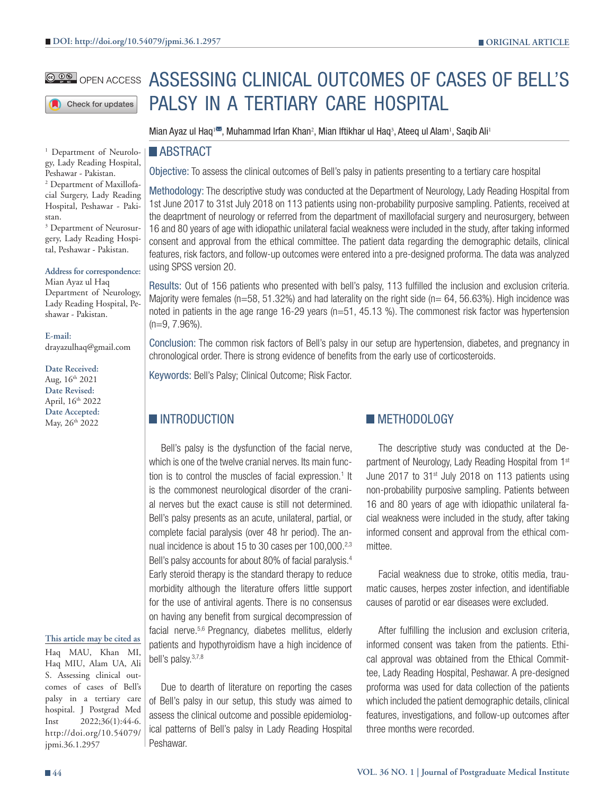Check for updates

<sup>1</sup> Department of Neurology, Lady Reading Hospital, Peshawar - Pakistan. 2 Department of Maxillofacial Surgery, Lady Reading Hospital, Peshawar - Pakistan.

3 Department of Neurosurgery, Lady Reading Hospital, Peshawar - Pakistan.

#### **Address for correspondence:**

Mian Ayaz ul Haq Department of Neurology, Lady Reading Hospital, Peshawar - Pakistan.

**E-mail:** drayazulhaq@gmail.com

**Date Received:** Aug,  $16^{th}$  2021 **Date Revised:** April, 16th 2022 **Date Accepted:** May, 26<sup>th</sup> 2022

#### **This article may be cited as**

Haq MAU, Khan MI, Haq MIU, Alam UA, Ali S. Assessing clinical outcomes of cases of Bell's palsy in a tertiary care hospital. J Postgrad Med Inst 2022;36(1):44-6. http://doi.org/10.54079/ jpmi.36.1.2957

# **@@@** open access ASSESSING CLINICAL OUTCOMES OF CASES OF BELL'S PALSY IN A TERTIARY CARE HOSPITAL

Mian Ayaz ul Haq<sup>ı</sup>≅, Muhammad Irfan Khan<sup>2</sup>, Mian Iftikhar ul Haq<sup>3</sup>, Ateeq ul Alam<sup>ı</sup>, Saqib Ali<sup>ı</sup>

#### **ABSTRACT**

Objective: To assess the clinical outcomes of Bell's palsy in patients presenting to a tertiary care hospital

Methodology: The descriptive study was conducted at the Department of Neurology, Lady Reading Hospital from 1st June 2017 to 31st July 2018 on 113 patients using non-probability purposive sampling. Patients, received at the deaprtment of neurology or referred from the department of maxillofacial surgery and neurosurgery, between 16 and 80 years of age with idiopathic unilateral facial weakness were included in the study, after taking informed consent and approval from the ethical committee. The patient data regarding the demographic details, clinical features, risk factors, and follow-up outcomes were entered into a pre-designed proforma. The data was analyzed using SPSS version 20.

Results: Out of 156 patients who presented with bell's palsy, 113 fulfilled the inclusion and exclusion criteria. Majority were females ( $n=58$ , 51.32%) and had laterality on the right side ( $n= 64$ , 56.63%). High incidence was noted in patients in the age range 16-29 years (n=51, 45.13 %). The commonest risk factor was hypertension (n=9, 7.96%).

Conclusion: The common risk factors of Bell's palsy in our setup are hypertension, diabetes, and pregnancy in chronological order. There is strong evidence of benefits from the early use of corticosteroids.

Keywords: Bell's Palsy; Clinical Outcome; Risk Factor.

# **INTRODUCTION**

Bell's palsy is the dysfunction of the facial nerve, which is one of the twelve cranial nerves. Its main function is to control the muscles of facial expression.<sup>1</sup> It is the commonest neurological disorder of the cranial nerves but the exact cause is still not determined. Bell's palsy presents as an acute, unilateral, partial, or complete facial paralysis (over 48 hr period). The annual incidence is about 15 to 30 cases per 100,000.<sup>2,3</sup> Bell's palsy accounts for about 80% of facial paralysis.<sup>4</sup> Early steroid therapy is the standard therapy to reduce morbidity although the literature offers little support for the use of antiviral agents. There is no consensus on having any benefit from surgical decompression of facial nerve.5,6 Pregnancy, diabetes mellitus, elderly patients and hypothyroidism have a high incidence of bell's palsy.3,7,8

Due to dearth of literature on reporting the cases of Bell's palsy in our setup, this study was aimed to assess the clinical outcome and possible epidemiological patterns of Bell's palsy in Lady Reading Hospital Peshawar.

# **METHODOLOGY**

The descriptive study was conducted at the Department of Neurology, Lady Reading Hospital from 1<sup>st</sup> June 2017 to  $31<sup>st</sup>$  July 2018 on 113 patients using non-probability purposive sampling. Patients between 16 and 80 years of age with idiopathic unilateral facial weakness were included in the study, after taking informed consent and approval from the ethical committee.

Facial weakness due to stroke, otitis media, traumatic causes, herpes zoster infection, and identifiable causes of parotid or ear diseases were excluded.

After fulfilling the inclusion and exclusion criteria, informed consent was taken from the patients. Ethical approval was obtained from the Ethical Committee, Lady Reading Hospital, Peshawar. A pre-designed proforma was used for data collection of the patients which included the patient demographic details, clinical features, investigations, and follow-up outcomes after three months were recorded.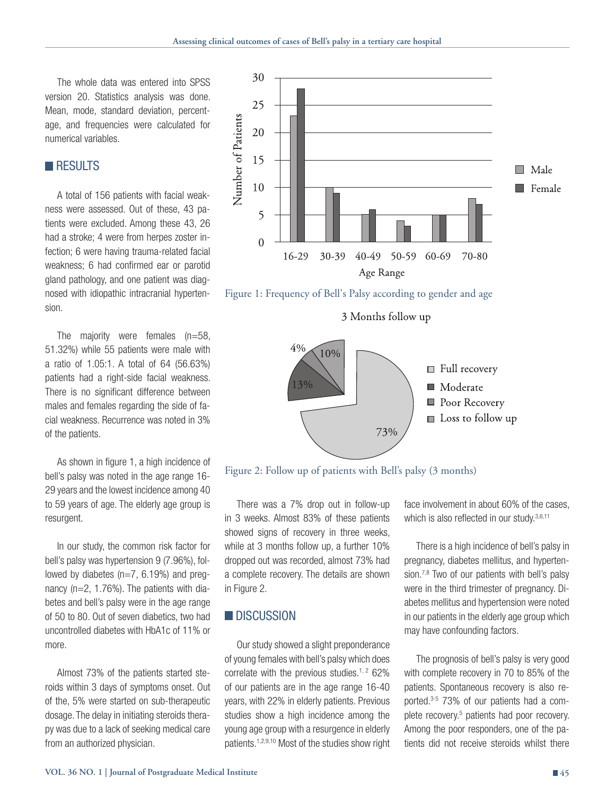The whole data was entered into SPSS version 20. Statistics analysis was done. Mean, mode, standard deviation, percentage, and frequencies were calculated for numerical variables.

# **RESULTS**

A total of 156 patients with facial weakness were assessed. Out of these, 43 patients were excluded. Among these 43, 26 had a stroke; 4 were from herpes zoster infection; 6 were having trauma-related facial weakness; 6 had confirmed ear or parotid gland pathology, and one patient was diagnosed with idiopathic intracranial hypertension.

The majority were females (n=58, 51.32%) while 55 patients were male with a ratio of 1.05:1. A total of 64 (56.63%) patients had a right-side facial weakness. There is no significant difference between males and females regarding the side of facial weakness. Recurrence was noted in 3% of the patients.

As shown in figure 1, a high incidence of bell's palsy was noted in the age range 16- 29 years and the lowest incidence among 40 to 59 years of age. The elderly age group is resurgent.

In our study, the common risk factor for bell's palsy was hypertension 9 (7.96%), followed by diabetes (n=7, 6.19%) and pregnancy (n=2, 1.76%). The patients with diabetes and bell's palsy were in the age range of 50 to 80. Out of seven diabetics, two had uncontrolled diabetes with HbA1c of 11% or more.

Almost 73% of the patients started steroids within 3 days of symptoms onset. Out of the, 5% were started on sub-therapeutic dosage. The delay in initiating steroids therapy was due to a lack of seeking medical care from an authorized physician.



Figure 1: Frequency of Bell's Palsy according to gender and age

3 Months follow up



Figure 2: Follow up of patients with Bell's palsy (3 months)

There was a 7% drop out in follow-up in 3 weeks. Almost 83% of these patients showed signs of recovery in three weeks, while at 3 months follow up, a further 10% dropped out was recorded, almost 73% had a complete recovery. The details are shown in Figure 2.

### **DISCUSSION**

Our study showed a slight preponderance of young females with bell's palsy which does correlate with the previous studies.<sup>1, 2</sup> 62% of our patients are in the age range 16-40 years, with 22% in elderly patients. Previous studies show a high incidence among the young age group with a resurgence in elderly patients.1,2,9,10 Most of the studies show right

face involvement in about 60% of the cases, which is also reflected in our study.<sup>3,6,11</sup>

There is a high incidence of bell's palsy in pregnancy, diabetes mellitus, and hypertension.<sup>7,8</sup> Two of our patients with bell's palsy were in the third trimester of pregnancy. Diabetes mellitus and hypertension were noted in our patients in the elderly age group which may have confounding factors.

The prognosis of bell's palsy is very good with complete recovery in 70 to 85% of the patients. Spontaneous recovery is also reported.3-5 73% of our patients had a complete recovery.<sup>5</sup> patients had poor recovery. Among the poor responders, one of the patients did not receive steroids whilst there